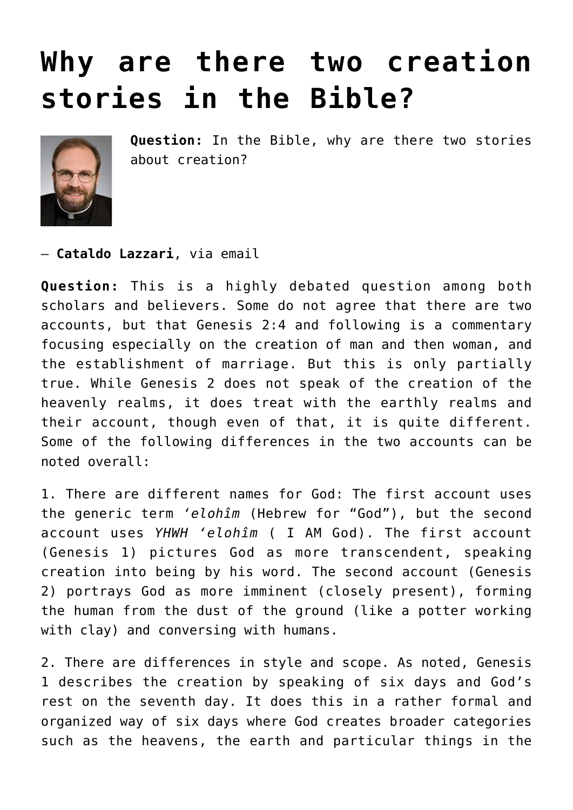## **[Why are there two creation](https://www.osvnews.com/2022/05/02/why-are-there-two-creation-stories-in-the-bible/) [stories in the Bible?](https://www.osvnews.com/2022/05/02/why-are-there-two-creation-stories-in-the-bible/)**



**Question:** In the Bible, why are there two stories about creation?

— **Cataldo Lazzari**, via email

**Question:** This is a highly debated question among both scholars and believers. Some do not agree that there are two accounts, but that Genesis 2:4 and following is a commentary focusing especially on the creation of man and then woman, and the establishment of marriage. But this is only partially true. While Genesis 2 does not speak of the creation of the heavenly realms, it does treat with the earthly realms and their account, though even of that, it is quite different. Some of the following differences in the two accounts can be noted overall:

1. There are different names for God: The first account uses the generic term *'elohîm* (Hebrew for "God"), but the second account uses *YHWH 'elohîm* ( I AM God). The first account (Genesis 1) pictures God as more transcendent, speaking creation into being by his word. The second account (Genesis 2) portrays God as more imminent (closely present), forming the human from the dust of the ground (like a potter working with clay) and conversing with humans.

2. There are differences in style and scope. As noted, Genesis 1 describes the creation by speaking of six days and God's rest on the seventh day. It does this in a rather formal and organized way of six days where God creates broader categories such as the heavens, the earth and particular things in the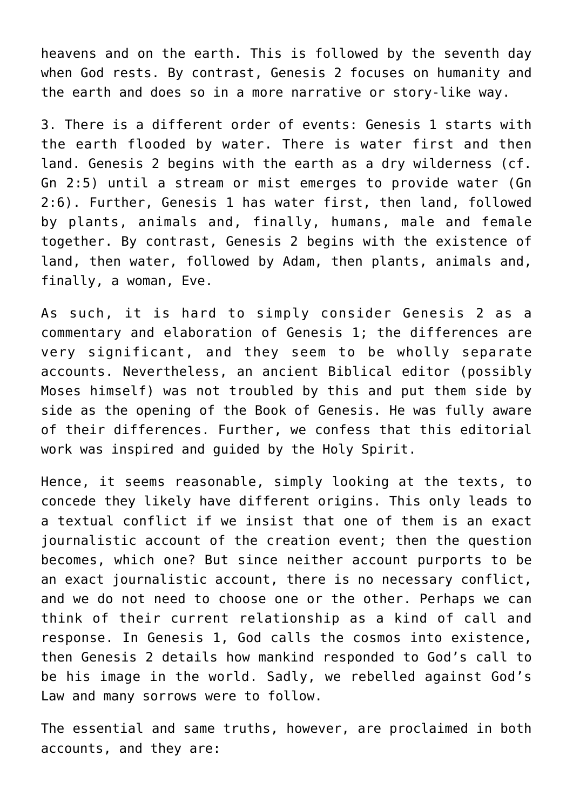heavens and on the earth. This is followed by the seventh day when God rests. By contrast, Genesis 2 focuses on humanity and the earth and does so in a more narrative or story-like way.

3. There is a different order of events: Genesis 1 starts with the earth flooded by water. There is water first and then land. Genesis 2 begins with the earth as a dry wilderness (cf. Gn 2:5) until a stream or mist emerges to provide water (Gn 2:6). Further, Genesis 1 has water first, then land, followed by plants, animals and, finally, humans, male and female together. By contrast, Genesis 2 begins with the existence of land, then water, followed by Adam, then plants, animals and, finally, a woman, Eve.

As such, it is hard to simply consider Genesis 2 as a commentary and elaboration of Genesis 1; the differences are very significant, and they seem to be wholly separate accounts. Nevertheless, an ancient Biblical editor (possibly Moses himself) was not troubled by this and put them side by side as the opening of the Book of Genesis. He was fully aware of their differences. Further, we confess that this editorial work was inspired and guided by the Holy Spirit.

Hence, it seems reasonable, simply looking at the texts, to concede they likely have different origins. This only leads to a textual conflict if we insist that one of them is an exact journalistic account of the creation event; then the question becomes, which one? But since neither account purports to be an exact journalistic account, there is no necessary conflict, and we do not need to choose one or the other. Perhaps we can think of their current relationship as a kind of call and response. In Genesis 1, God calls the cosmos into existence, then Genesis 2 details how mankind responded to God's call to be his image in the world. Sadly, we rebelled against God's Law and many sorrows were to follow.

The essential and same truths, however, are proclaimed in both accounts, and they are: